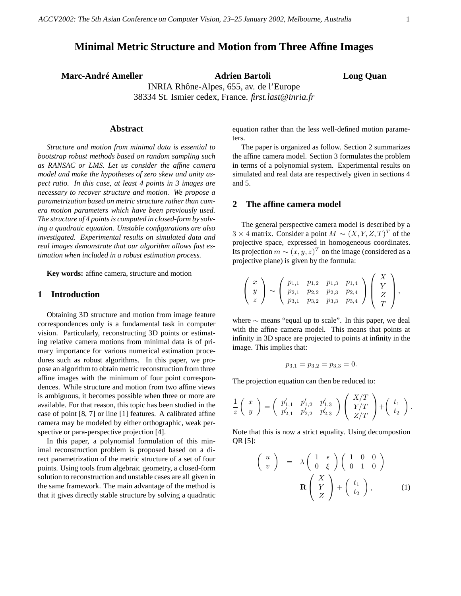# **Minimal Metric Structure and Motion from Three Affine Images**

**Marc-André Ameller Adrien Bartoli Long Quan**

INRIA Rhône-Alpes, 655, av. de l'Europe 38334 St. Ismier cedex, France. *first.last@inria.fr*

## **Abstract**

*Structure and motion from minimal data is essential to bootstrap robust methods based on random sampling such as RANSAC or LMS. Let us consider the affine camera model and make the hypotheses of zero skew and unity aspect ratio. In this case, at least 4 points in 3 images are necessary to recover structure and motion. We propose a parametrization based on metric structure rather than camera motion parameters which have been previously used. The structure of 4 pointsis computed in closed-form by solving a quadratic equation. Unstable configurations are also investigated. Experimental results on simulated data and real images demonstrate that our algorithm allows fast estimation when included in a robust estimation process.*

**Key words:** affine camera, structure and motion

## **1 Introduction**

Obtaining 3D structure and motion from image feature correspondences only is a fundamental task in computer vision. Particularly, reconstructing 3D points or estimating relative camera motions from minimal data is of primary importance for various numerical estimation procedures such as robust algorithms. In this paper, we propose an algorithm to obtain metric reconstruction from three affine images with the minimum of four point correspondences. While structure and motion from two affine views is ambiguous, it becomes possible when three or more are available. For that reason, this topic has been studied in the case of point [8, 7] or line [1] features. A calibrated affine camera may be modeled by either orthographic, weak perspective or para-perspective projection [4].

In this paper, a polynomial formulation of this minimal reconstruction problem is proposed based on a direct parametrization of the metric structure of a set of four points. Using tools from algebraic geometry, a closed-form solution to reconstruction and unstable cases are all given in the same framework. The main advantage of the method is that it gives directly stable structure by solving a quadratic equation rather than the less well-defined motion parameters.

The paper is organized as follow. Section 2 summarizes the affine camera model. Section 3 formulates the problem in terms of a polynomial system. Experimental results on simulated and real data are respectively given in sections 4 and 5.

### **2 The affine camera model**

The general perspective camera model is described by a  $3 \times 4$  matrix. Consider a point  $M \sim (X, Y, Z, T)^T$  of the projective space, expressed in homogeneous coordinates. Its projection  $m \sim (x, y, z)^T$  on the image (considered as a projective plane) is given by the formula:

$$
\left(\begin{array}{c} x \\ y \\ z \end{array}\right) \sim \left(\begin{array}{cccc} p_{1,1} & p_{1,2} & p_{1,3} & p_{1,4} \\ p_{2,1} & p_{2,2} & p_{2,3} & p_{2,4} \\ p_{3,1} & p_{3,2} & p_{3,3} & p_{3,4} \end{array}\right) \left(\begin{array}{c} X \\ Y \\ Z \\ T \end{array}\right),
$$

where ∼ means "equal up to scale". In this paper, we deal with the affine camera model. This means that points at infinity in 3D space are projected to points at infinity in the image. This implies that:

$$
p_{3,1} = p_{3,2} = p_{3,3} = 0.
$$

The projection equation can then be reduced to:

$$
\frac{1}{z}\begin{pmatrix} x \\ y \end{pmatrix} = \begin{pmatrix} p'_{1,1} & p'_{1,2} & p'_{1,3} \\ p'_{2,1} & p'_{2,2} & p'_{2,3} \end{pmatrix} \begin{pmatrix} X/T \\ Y/T \\ Z/T \end{pmatrix} + \begin{pmatrix} t_1 \\ t_2 \end{pmatrix}.
$$

Note that this is now a strict equality. Using decompostion QR [5]:

$$
\begin{pmatrix}\nu \\ v \end{pmatrix} = \lambda \begin{pmatrix} 1 & \epsilon \\ 0 & \xi \end{pmatrix} \begin{pmatrix} 1 & 0 & 0 \\ 0 & 1 & 0 \end{pmatrix}
$$

$$
\mathbf{R} \begin{pmatrix} X \\ Y \\ Z \end{pmatrix} + \begin{pmatrix} t_1 \\ t_2 \end{pmatrix}, \qquad (1)
$$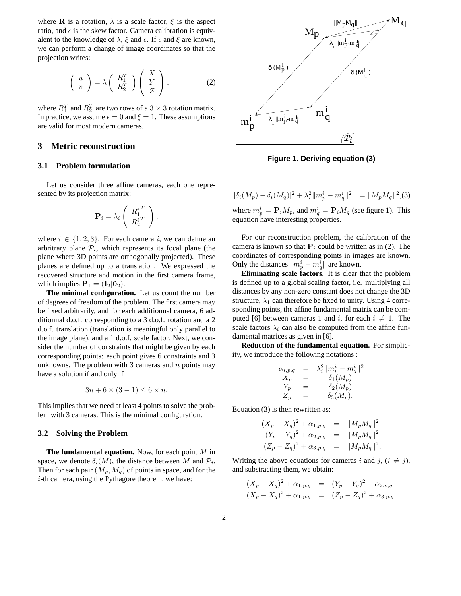where **R** is a rotation,  $\lambda$  is a scale factor,  $\xi$  is the aspect ratio, and  $\epsilon$  is the skew factor. Camera calibration is equivalent to the knowledge of  $\lambda$ ,  $\xi$  and  $\epsilon$ . If  $\epsilon$  and  $\xi$  are known, we can perform a change of image coordinates so that the projection writes:

$$
\left(\begin{array}{c} u \\ v \end{array}\right) = \lambda \left(\begin{array}{c} R_1^T \\ R_2^T \end{array}\right) \left(\begin{array}{c} X \\ Y \\ Z \end{array}\right),\tag{2}
$$

where  $R_1^T$  and  $R_2^T$  are two rows of a  $3 \times 3$  rotation matrix. In practice, we assume  $\epsilon = 0$  and  $\xi = 1$ . These assumptions are valid for most modern cameras.

## **3 Metric reconstruction**

## **3.1 Problem formulation**

Let us consider three affine cameras, each one represented by its projection matrix:

$$
\mathbf{P}_i = \lambda_i \left( \begin{array}{c} {R_1^i}^T \\ {R_2^i}^T \end{array} \right),
$$

where  $i \in \{1, 2, 3\}$ . For each camera i, we can define an arbritrary plane  $P_i$ , which represents its focal plane (the plane where 3D points are orthogonally projected). These planes are defined up to a translation. We expressed the recovered structure and motion in the first camera frame, which implies  $P_1 = (I_2|0_2)$ .

**The minimal configuration.** Let us count the number of degrees of freedom of the problem. The first camera may be fixed arbitrarily, and for each additionnal camera, 6 additionnal d.o.f. corresponding to a 3 d.o.f. rotation and a 2 d.o.f. translation (translation is meaningful only parallel to the image plane), and a 1 d.o.f. scale factor. Next, we consider the number of constraints that might be given by each corresponding points: each point gives 6 constraints and 3 unknowns. The problem with 3 cameras and  $n$  points may have a solution if and only if

$$
3n + 6 \times (3 - 1) \le 6 \times n.
$$

This implies that we need at least 4 points to solve the problem with 3 cameras. This is the minimal configuration.

#### **3.2 Solving the Problem**

**The fundamental equation.** Now, for each point M in space, we denote  $\delta_i(M)$ , the distance between M and  $\mathcal{P}_i$ . Then for each pair  $(M_p, M_q)$  of points in space, and for the i-th camera, using the Pythagore theorem, we have:



**Figure 1. Deriving equation (3)**

 $|\delta_i(M_p) - \delta_i(M_q)|^2 + \lambda_i^2 ||m_p^i - m_q^i||^2 = ||M_p M_q||^2,$ (3)

where  $m_p^i = \mathbf{P}_i M_p$ , and  $m_q^i = \mathbf{P}_i M_q$  (see figure 1). This equation have interesting properties.

For our reconstruction problem, the calibration of the camera is known so that  $P_i$  could be written as in (2). The coordinates of corresponding points in images are known. Only the distances  $\|m_p^i - m_q^i\|$  are known.

**Eliminating scale factors.** It is clear that the problem is defined up to a global scaling factor, i.e. multiplying all distances by any non-zero constant does not change the 3D structure,  $\lambda_1$  can therefore be fixed to unity. Using 4 corresponding points, the affine fundamental matrix can be computed [6] between cameras 1 and i, for each  $i \neq 1$ . The scale factors  $\lambda_i$  can also be computed from the affine fundamental matrices as given in [6].

**Reduction of the fundamental equation.** For simplicity, we introduce the following notations :

$$
\alpha_{i,p,q} = \lambda_i^2 ||m_p^i - m_q^i||^2
$$
  
\n
$$
\begin{array}{rcl}\nX_p &=& \delta_1(M_p) \\
Y_p &=& \delta_2(M_p) \\
Z_p &=& \delta_3(M_p).\n\end{array}
$$

Equation (3) is then rewritten as:

$$
(X_p - X_q)^2 + \alpha_{1,p,q} = ||M_p M_q||^2
$$
  
\n
$$
(Y_p - Y_q)^2 + \alpha_{2,p,q} = ||M_p M_q||^2
$$
  
\n
$$
(Z_p - Z_q)^2 + \alpha_{3,p,q} = ||M_p M_q||^2.
$$

Writing the above equations for cameras i and j,  $(i \neq j)$ , and substracting them, we obtain:

$$
(X_p - X_q)^2 + \alpha_{1,p,q} = (Y_p - Y_q)^2 + \alpha_{2,p,q}
$$
  

$$
(X_p - X_q)^2 + \alpha_{1,p,q} = (Z_p - Z_q)^2 + \alpha_{3,p,q}.
$$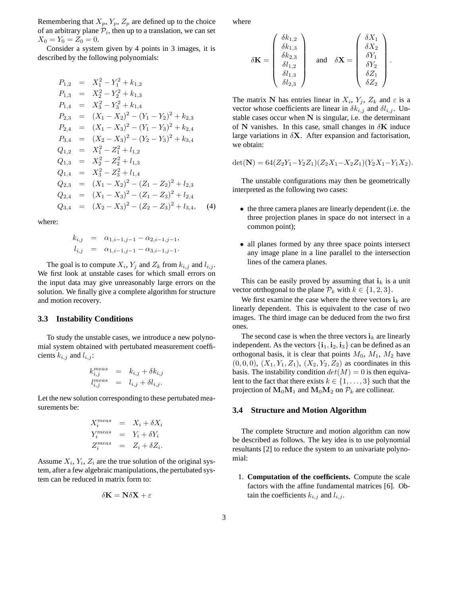Remembering that  $X_p$ ,  $Y_p$ ,  $Z_p$  are defined up to the choice of an arbitrary plane  $P_i$ , then up to a translation, we can set  $X_0 = Y_0 = Z_0 = 0.$ 

Consider a system given by 4 points in 3 images, it is described by the following polynomials:

$$
P_{1,2} = X_1^2 - Y_1^2 + k_{1,2}
$$
  
\n
$$
P_{1,3} = X_2^2 - Y_2^2 + k_{1,3}
$$
  
\n
$$
P_{1,4} = X_3^2 - Y_3^2 + k_{1,4}
$$
  
\n
$$
P_{2,3} = (X_1 - X_2)^2 - (Y_1 - Y_2)^2 + k_{2,3}
$$
  
\n
$$
P_{2,4} = (X_1 - X_3)^2 - (Y_1 - Y_3)^2 + k_{2,4}
$$
  
\n
$$
P_{3,4} = (X_2 - X_3)^2 - (Y_2 - Y_3)^2 + k_{3,4}
$$
  
\n
$$
Q_{1,2} = X_1^2 - Z_1^2 + l_{1,2}
$$
  
\n
$$
Q_{1,3} = X_2^2 - Z_2^2 + l_{1,3}
$$
  
\n
$$
Q_{1,4} = X_3^2 - Z_3^2 + l_{1,4}
$$
  
\n
$$
Q_{2,3} = (X_1 - X_2)^2 - (Z_1 - Z_2)^2 + l_{2,3}
$$
  
\n
$$
Q_{2,4} = (X_1 - X_3)^2 - (Z_1 - Z_3)^2 + l_{2,4}
$$
  
\n
$$
Q_{3,4} = (X_2 - X_3)^2 - (Z_2 - Z_3)^2 + l_{3,4}, \quad (4)
$$

where:

$$
k_{i,j} = \alpha_{1,i-1,j-1} - \alpha_{2,i-1,j-1},
$$
  
\n
$$
l_{i,j} = \alpha_{1,i-1,j-1} - \alpha_{3,i-1,j-1}.
$$

The goal is to compute  $X_i, Y_j$  and  $Z_k$  from  $k_{i,j}$  and  $l_{i,j}$ . We first look at unstable cases for which small errors on the input data may give unreasonably large errors on the solution. We finally give a complete algorithm for structure and motion recovery.

#### **3.3 Instability Conditions**

To study the unstable cases, we introduce a new polynomial system obtained with pertubated measurement coefficients  $k_{i,j}$  and  $l_{i,j}$ :

$$
k_{i,j}^{meas} = k_{i,j} + \delta k_{i,j}
$$
  

$$
l_{i,j}^{meas} = l_{i,j} + \delta l_{i,j}.
$$

Let the new solution corresponding to these pertubated measurements be:

$$
X_i^{meas} = X_i + \delta X_i
$$
  
\n
$$
Y_i^{meas} = Y_i + \delta Y_i
$$
  
\n
$$
Z_i^{meas} = Z_i + \delta Z_i.
$$

Assume  $X_i$ ,  $Y_i$ ,  $Z_i$  are the true solution of the original system, after a few algebraic manipulations, the pertubated system can be reduced in matrix form to:

$$
\delta \mathbf{K} = \mathbf{N} \delta \mathbf{X} + \varepsilon
$$

where

$$
\delta \mathbf{K} = \begin{pmatrix} \delta k_{1,2} \\ \delta k_{1,3} \\ \delta k_{2,3} \\ \delta l_{1,2} \\ \delta l_{1,3} \\ \delta l_{2,3} \end{pmatrix} \quad \text{and} \quad \delta \mathbf{X} = \begin{pmatrix} \delta X_1 \\ \delta X_2 \\ \delta Y_1 \\ \delta Y_2 \\ \delta Z_1 \\ \delta Z_2 \end{pmatrix}.
$$

The matrix N has entries linear in  $X_i$ ,  $Y_j$ ,  $Z_k$  and  $\varepsilon$  is a vector whose coefficients are linear in  $\delta k_{i,j}$  and  $\delta l_{i,j}$ . Unstable cases occur when  $N$  is singular, i.e. the determinant of N vanishes. In this case, small changes in  $\delta$ K induce large variations in  $\delta X$ . After expansion and factorisation, we obtain:

$$
\det(\mathbf{N}) = 64(Z_2Y_1 - Y_2Z_1)(Z_2X_1 - X_2Z_1)(Y_2X_1 - Y_1X_2).
$$

The unstable configurations may then be geometrically interpreted as the following two cases:

- the three camera planes are linearly dependent (i.e. the three projection planes in space do not intersect in a common point);
- all planes formed by any three space points intersect any image plane in a line parallel to the intersection lines of the camera planes.

This can be easily proved by assuming that  $i_k$  is a unit vector otrthogonal to the plane  $\mathcal{P}_k$  with  $k \in \{1, 2, 3\}.$ 

We first examine the case where the three vectors  $\mathbf{i}_k$  are linearly dependent. This is equivalent to the case of two images. The third image can be deduced from the two first ones.

The second case is when the three vectors  $\mathbf{i}_k$  are linearly independent. As the vectors  $\{i_1, i_2, i_3\}$  can be defined as an orthogonal basis, it is clear that points  $M_0$ ,  $M_1$ ,  $M_2$  have  $(0, 0, 0), (X_1, Y_1, Z_1), (X_2, Y_2, Z_2)$  as coordinates in this basis. The instability condition  $det(M) = 0$  is then equivalent to the fact that there exists  $k \in \{1, \ldots, 3\}$  such that the projection of  $M_0M_1$  and  $M_0M_2$  on  $\mathcal{P}_k$  are collinear.

#### **3.4 Structure and Motion Algorithm**

The complete Structure and motion algorithm can now be described as follows. The key idea is to use polynomial resultants [2] to reduce the system to an univariate polynomial:

1. **Computation of the coefficients.** Compute the scale factors with the affine fundamental matrices [6]. Obtain the coefficients  $k_{i,j}$  and  $l_{i,j}$ .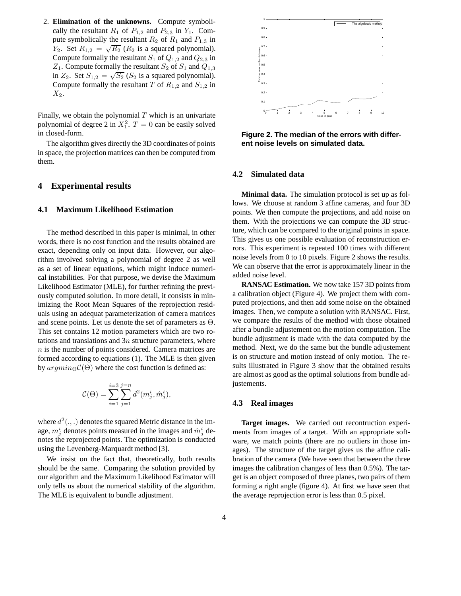2. **Elimination of the unknowns.** Compute symbolically the resultant  $R_1$  of  $P_{1,2}$  and  $P_{2,3}$  in  $Y_1$ . Compute symbolically the resultant  $R_2$  of  $R_1$  and  $P_{1,3}$  in  $Y_2$ . Set  $R_{1,2} = \sqrt{R_2} (R_2$  is a squared polynomial). Compute formally the resultant  $S_1$  of  $Q_{1,2}$  and  $Q_{2,3}$  in  $Z_1$ . Compute formally the resultant  $S_2$  of  $S_1$  and  $Q_{1,3}$ in  $Z_2$ . Set  $S_{1,2} = \sqrt{S_2}$  ( $S_2$  is a squared polynomial). Compute formally the resultant T of  $R_{1,2}$  and  $S_{1,2}$  in  $X_2$ .

Finally, we obtain the polynomial  $T$  which is an univariate polynomial of degree 2 in  $X_1^2$ .  $T = 0$  can be easily solved in closed-form.

The algorithm gives directly the 3D coordinates of points in space, the projection matrices can then be computed from them.

## **4 Experimental results**

#### **4.1 Maximum Likelihood Estimation**

The method described in this paper is minimal, in other words, there is no cost function and the results obtained are exact, depending only on input data. However, our algorithm involved solving a polynomial of degree 2 as well as a set of linear equations, which might induce numerical instabilities. For that purpose, we devise the Maximum Likelihood Estimator (MLE), for further refining the previously computed solution. In more detail, it consists in minimizing the Root Mean Squares of the reprojection residuals using an adequat parameterization of camera matrices and scene points. Let us denote the set of parameters as  $\Theta$ . This set contains 12 motion parameters which are two rotations and translations and  $3n$  structure parameters, where n is the number of points considered. Camera matrices are formed according to equations (1). The MLE is then given by  $argmin_{\Theta} \mathcal{C}(\Theta)$  where the cost function is defined as:

$$
\mathcal{C}(\Theta) = \sum_{i=1}^{i=3} \sum_{j=1}^{j=n} d^2(m^i_j,\hat{m}^i_j),
$$

where  $d^2(.,.)$  denotes the squared Metric distance in the image,  $m_j^i$  denotes points measured in the images and  $\hat{m}_j^i$  denotes the reprojected points. The optimization is conducted using the Levenberg-Marquardt method [3].

We insist on the fact that, theoretically, both results should be the same. Comparing the solution provided by our algorithm and the Maximum Likelihood Estimator will only tells us about the numerical stability of the algorithm. The MLE is equivalent to bundle adjustment.



**Figure 2. The median of the errors with different noise levels on simulated data.**

#### **4.2 Simulated data**

**Minimal data.** The simulation protocol is set up as follows. We choose at random 3 affine cameras, and four 3D points. We then compute the projections, and add noise on them. With the projections we can compute the 3D structure, which can be compared to the original points in space. This gives us one possible evaluation of reconstruction errors. This experiment is repeated 100 times with different noise levels from 0 to 10 pixels. Figure 2 shows the results. We can observe that the error is approximately linear in the added noise level.

**RANSAC Estimation.** We now take 157 3D points from a calibration object (Figure 4). We project them with computed projections, and then add some noise on the obtained images. Then, we compute a solution with RANSAC. First, we compare the results of the method with those obtained after a bundle adjustement on the motion computation. The bundle adjustment is made with the data computed by the method. Next, we do the same but the bundle adjustement is on structure and motion instead of only motion. The results illustrated in Figure 3 show that the obtained results are almost as good as the optimal solutions from bundle adjustements.

#### **4.3 Real images**

**Target images.** We carried out recontruction experiments from images of a target. With an appropriate software, we match points (there are no outliers in those images). The structure of the target gives us the affine calibration of the camera (We have seen that between the three images the calibration changes of less than 0.5%). The target is an object composed of three planes, two pairs of them forming a right angle (figure 4). At first we have seen that the average reprojection error is less than 0.5 pixel.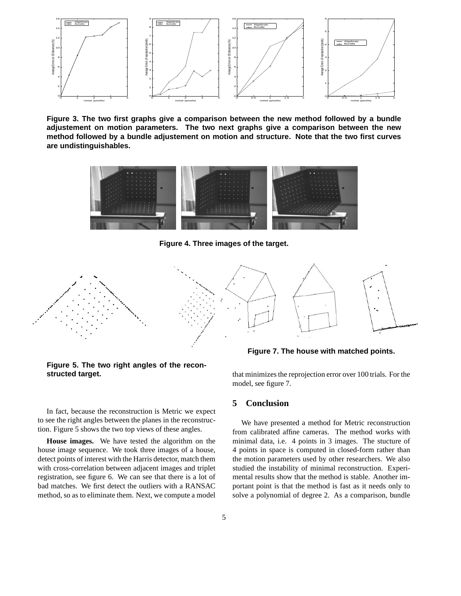

**Figure 3. The two first graphs give a comparison between the new method followed by a bundle adjustement on motion parameters. The two next graphs give a comparison between the new method followed by a bundle adjustement on motion and structure. Note that the two first curves are undistinguishables.**



**Figure 4. Three images of the target.**



**Figure 5. The two right angles of the reconstructed target.**

In fact, because the reconstruction is Metric we expect to see the right angles between the planes in the reconstruction. Figure 5 shows the two top views of these angles.

**House images.** We have tested the algorithm on the house image sequence. We took three images of a house, detect points of interest with the Harris detector, match them with cross-correlation between adjacent images and triplet registration, see figure 6. We can see that there is a lot of bad matches. We first detect the outliers with a RANSAC method, so as to eliminate them. Next, we compute a model

**Figure 7. The house with matched points.**

that minimizes the reprojection error over 100 trials. For the model, see figure 7.

## **5 Conclusion**

We have presented a method for Metric reconstruction from calibrated affine cameras. The method works with minimal data, i.e. 4 points in 3 images. The stucture of 4 points in space is computed in closed-form rather than the motion parameters used by other researchers. We also studied the instability of minimal reconstruction. Experimental results show that the method is stable. Another important point is that the method is fast as it needs only to solve a polynomial of degree 2. As a comparison, bundle